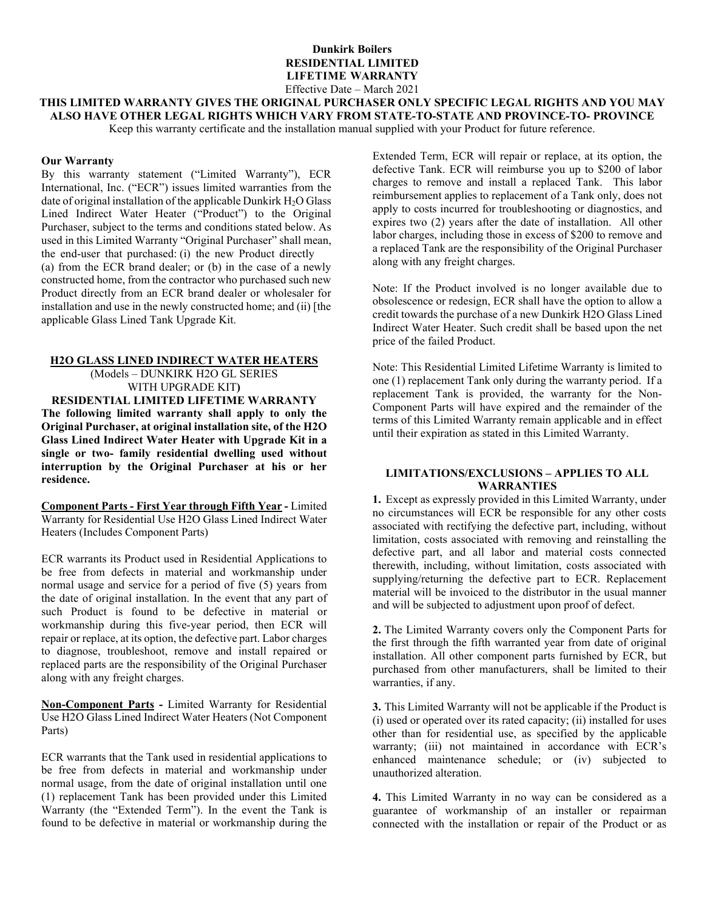### **Dunkirk Boilers RESIDENTIAL LIMITED LIFETIME WARRANTY** Effective Date – March 2021

# **THIS LIMITED WARRANTY GIVES THE ORIGINAL PURCHASER ONLY SPECIFIC LEGAL RIGHTS AND YOU MAY ALSO HAVE OTHER LEGAL RIGHTS WHICH VARY FROM STATE-TO-STATE AND PROVINCE-TO- PROVINCE**

Keep this warranty certificate and the installation manual supplied with your Product for future reference.

#### **Our Warranty**

By this warranty statement ("Limited Warranty"), ECR International, Inc. ("ECR") issues limited warranties from the date of original installation of the applicable Dunkirk  $H_2O$  Glass Lined Indirect Water Heater ("Product") to the Original Purchaser, subject to the terms and conditions stated below. As used in this Limited Warranty "Original Purchaser" shall mean, the end-user that purchased: (i) the new Product directly (a) from the ECR brand dealer; or (b) in the case of a newly constructed home, from the contractor who purchased such new Product directly from an ECR brand dealer or wholesaler for installation and use in the newly constructed home; and (ii) [the applicable Glass Lined Tank Upgrade Kit.

### **H2O GLASS LINED INDIRECT WATER HEATERS**

(Models – DUNKIRK H2O GL SERIES WITH UPGRADE KIT**)**

**RESIDENTIAL LIMITED LIFETIME WARRANTY The following limited warranty shall apply to only the Original Purchaser, at original installation site, of the H2O Glass Lined Indirect Water Heater with Upgrade Kit in a single or two- family residential dwelling used without interruption by the Original Purchaser at his or her residence.**

**Component Parts - First Year through Fifth Year -** Limited Warranty for Residential Use H2O Glass Lined Indirect Water Heaters (Includes Component Parts)

ECR warrants its Product used in Residential Applications to be free from defects in material and workmanship under normal usage and service for a period of five (5) years from the date of original installation. In the event that any part of such Product is found to be defective in material or workmanship during this five-year period, then ECR will repair or replace, at its option, the defective part. Labor charges to diagnose, troubleshoot, remove and install repaired or replaced parts are the responsibility of the Original Purchaser along with any freight charges.

**Non-Component Parts -** Limited Warranty for Residential Use H2O Glass Lined Indirect Water Heaters (Not Component Parts)

ECR warrants that the Tank used in residential applications to be free from defects in material and workmanship under normal usage, from the date of original installation until one (1) replacement Tank has been provided under this Limited Warranty (the "Extended Term"). In the event the Tank is found to be defective in material or workmanship during the

Extended Term, ECR will repair or replace, at its option, the defective Tank. ECR will reimburse you up to \$200 of labor charges to remove and install a replaced Tank. This labor reimbursement applies to replacement of a Tank only, does not apply to costs incurred for troubleshooting or diagnostics, and expires two (2) years after the date of installation. All other labor charges, including those in excess of \$200 to remove and a replaced Tank are the responsibility of the Original Purchaser along with any freight charges.

Note: If the Product involved is no longer available due to obsolescence or redesign, ECR shall have the option to allow a credit towards the purchase of a new Dunkirk H2O Glass Lined Indirect Water Heater. Such credit shall be based upon the net price of the failed Product.

Note: This Residential Limited Lifetime Warranty is limited to one (1) replacement Tank only during the warranty period. If a replacement Tank is provided, the warranty for the Non-Component Parts will have expired and the remainder of the terms of this Limited Warranty remain applicable and in effect until their expiration as stated in this Limited Warranty.

## **LIMITATIONS/EXCLUSIONS – APPLIES TO ALL WARRANTIES**

**1.** Except as expressly provided in this Limited Warranty, under no circumstances will ECR be responsible for any other costs associated with rectifying the defective part, including, without limitation, costs associated with removing and reinstalling the defective part, and all labor and material costs connected therewith, including, without limitation, costs associated with supplying/returning the defective part to ECR. Replacement material will be invoiced to the distributor in the usual manner and will be subjected to adjustment upon proof of defect.

**2.** The Limited Warranty covers only the Component Parts for the first through the fifth warranted year from date of original installation. All other component parts furnished by ECR, but purchased from other manufacturers, shall be limited to their warranties, if any.

**3.** This Limited Warranty will not be applicable if the Product is (i) used or operated over its rated capacity; (ii) installed for uses other than for residential use, as specified by the applicable warranty; (iii) not maintained in accordance with ECR's enhanced maintenance schedule; or (iv) subjected to unauthorized alteration.

**4.** This Limited Warranty in no way can be considered as a guarantee of workmanship of an installer or repairman connected with the installation or repair of the Product or as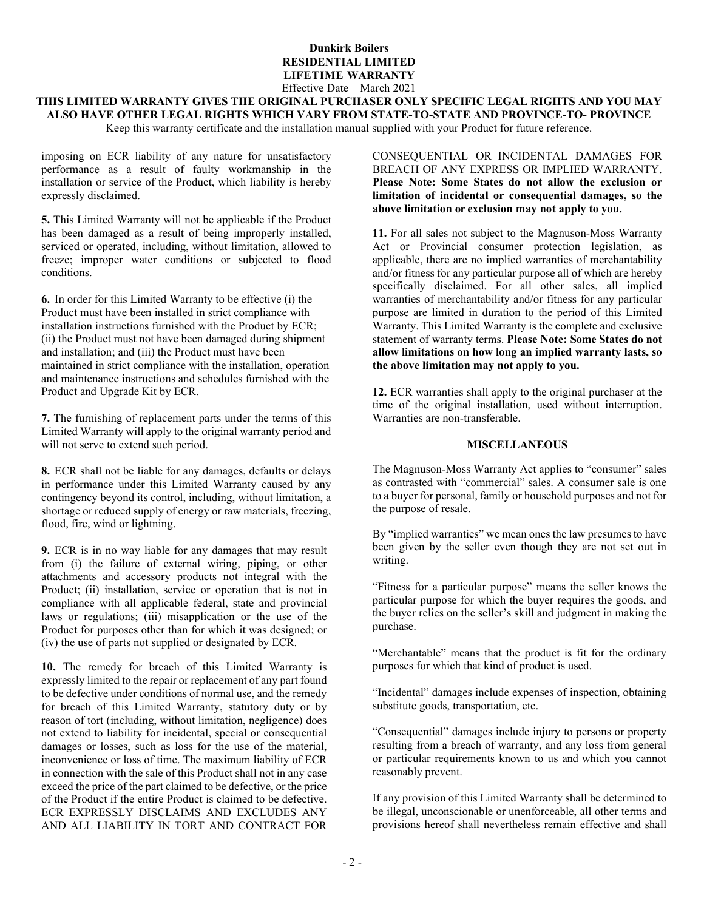## **Dunkirk Boilers RESIDENTIAL LIMITED LIFETIME WARRANTY** Effective Date – March 2021

# **THIS LIMITED WARRANTY GIVES THE ORIGINAL PURCHASER ONLY SPECIFIC LEGAL RIGHTS AND YOU MAY ALSO HAVE OTHER LEGAL RIGHTS WHICH VARY FROM STATE-TO-STATE AND PROVINCE-TO- PROVINCE**

Keep this warranty certificate and the installation manual supplied with your Product for future reference.

imposing on ECR liability of any nature for unsatisfactory performance as a result of faulty workmanship in the installation or service of the Product, which liability is hereby expressly disclaimed.

**5.** This Limited Warranty will not be applicable if the Product has been damaged as a result of being improperly installed, serviced or operated, including, without limitation, allowed to freeze; improper water conditions or subjected to flood conditions.

**6.** In order for this Limited Warranty to be effective (i) the Product must have been installed in strict compliance with installation instructions furnished with the Product by ECR; (ii) the Product must not have been damaged during shipment and installation; and (iii) the Product must have been maintained in strict compliance with the installation, operation and maintenance instructions and schedules furnished with the Product and Upgrade Kit by ECR.

**7.** The furnishing of replacement parts under the terms of this Limited Warranty will apply to the original warranty period and will not serve to extend such period.

**8.** ECR shall not be liable for any damages, defaults or delays in performance under this Limited Warranty caused by any contingency beyond its control, including, without limitation, a shortage or reduced supply of energy or raw materials, freezing, flood, fire, wind or lightning.

**9.** ECR is in no way liable for any damages that may result from (i) the failure of external wiring, piping, or other attachments and accessory products not integral with the Product; (ii) installation, service or operation that is not in compliance with all applicable federal, state and provincial laws or regulations; (iii) misapplication or the use of the Product for purposes other than for which it was designed; or (iv) the use of parts not supplied or designated by ECR.

**10.** The remedy for breach of this Limited Warranty is expressly limited to the repair or replacement of any part found to be defective under conditions of normal use, and the remedy for breach of this Limited Warranty, statutory duty or by reason of tort (including, without limitation, negligence) does not extend to liability for incidental, special or consequential damages or losses, such as loss for the use of the material, inconvenience or loss of time. The maximum liability of ECR in connection with the sale of this Product shall not in any case exceed the price of the part claimed to be defective, or the price of the Product if the entire Product is claimed to be defective. ECR EXPRESSLY DISCLAIMS AND EXCLUDES ANY AND ALL LIABILITY IN TORT AND CONTRACT FOR

CONSEQUENTIAL OR INCIDENTAL DAMAGES FOR BREACH OF ANY EXPRESS OR IMPLIED WARRANTY. **Please Note: Some States do not allow the exclusion or limitation of incidental or consequential damages, so the above limitation or exclusion may not apply to you.**

**11.** For all sales not subject to the Magnuson-Moss Warranty Act or Provincial consumer protection legislation, as applicable, there are no implied warranties of merchantability and/or fitness for any particular purpose all of which are hereby specifically disclaimed. For all other sales, all implied warranties of merchantability and/or fitness for any particular purpose are limited in duration to the period of this Limited Warranty. This Limited Warranty is the complete and exclusive statement of warranty terms. **Please Note: Some States do not allow limitations on how long an implied warranty lasts, so the above limitation may not apply to you.**

**12.** ECR warranties shall apply to the original purchaser at the time of the original installation, used without interruption. Warranties are non-transferable.

### **MISCELLANEOUS**

The Magnuson-Moss Warranty Act applies to "consumer" sales as contrasted with "commercial" sales. A consumer sale is one to a buyer for personal, family or household purposes and not for the purpose of resale.

By "implied warranties" we mean ones the law presumes to have been given by the seller even though they are not set out in writing.

"Fitness for a particular purpose" means the seller knows the particular purpose for which the buyer requires the goods, and the buyer relies on the seller's skill and judgment in making the purchase.

"Merchantable" means that the product is fit for the ordinary purposes for which that kind of product is used.

"Incidental" damages include expenses of inspection, obtaining substitute goods, transportation, etc.

"Consequential" damages include injury to persons or property resulting from a breach of warranty, and any loss from general or particular requirements known to us and which you cannot reasonably prevent.

If any provision of this Limited Warranty shall be determined to be illegal, unconscionable or unenforceable, all other terms and provisions hereof shall nevertheless remain effective and shall